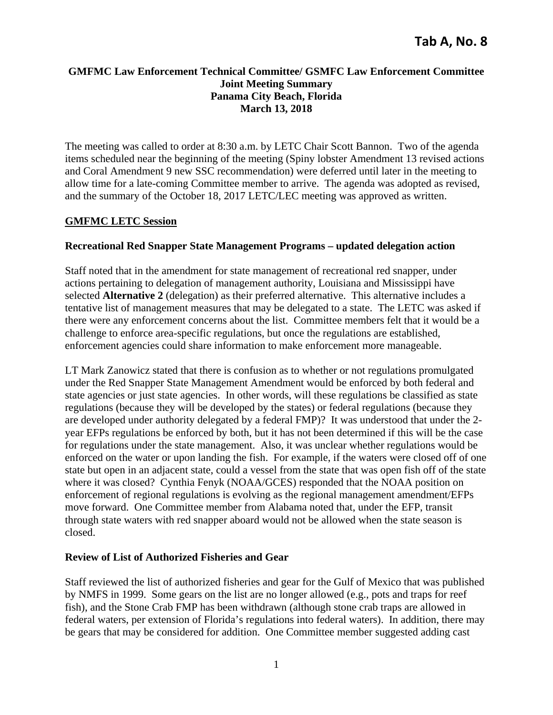# **GMFMC Law Enforcement Technical Committee/ GSMFC Law Enforcement Committee Joint Meeting Summary Panama City Beach, Florida March 13, 2018**

The meeting was called to order at 8:30 a.m. by LETC Chair Scott Bannon. Two of the agenda items scheduled near the beginning of the meeting (Spiny lobster Amendment 13 revised actions and Coral Amendment 9 new SSC recommendation) were deferred until later in the meeting to allow time for a late-coming Committee member to arrive. The agenda was adopted as revised, and the summary of the October 18, 2017 LETC/LEC meeting was approved as written.

# **GMFMC LETC Session**

# **Recreational Red Snapper State Management Programs – updated delegation action**

Staff noted that in the amendment for state management of recreational red snapper, under actions pertaining to delegation of management authority, Louisiana and Mississippi have selected **Alternative 2** (delegation) as their preferred alternative. This alternative includes a tentative list of management measures that may be delegated to a state. The LETC was asked if there were any enforcement concerns about the list. Committee members felt that it would be a challenge to enforce area-specific regulations, but once the regulations are established, enforcement agencies could share information to make enforcement more manageable.

LT Mark Zanowicz stated that there is confusion as to whether or not regulations promulgated under the Red Snapper State Management Amendment would be enforced by both federal and state agencies or just state agencies. In other words, will these regulations be classified as state regulations (because they will be developed by the states) or federal regulations (because they are developed under authority delegated by a federal FMP)? It was understood that under the 2 year EFPs regulations be enforced by both, but it has not been determined if this will be the case for regulations under the state management. Also, it was unclear whether regulations would be enforced on the water or upon landing the fish. For example, if the waters were closed off of one state but open in an adjacent state, could a vessel from the state that was open fish off of the state where it was closed? Cynthia Fenyk (NOAA/GCES) responded that the NOAA position on enforcement of regional regulations is evolving as the regional management amendment/EFPs move forward. One Committee member from Alabama noted that, under the EFP, transit through state waters with red snapper aboard would not be allowed when the state season is closed.

## **Review of List of Authorized Fisheries and Gear**

Staff reviewed the list of authorized fisheries and gear for the Gulf of Mexico that was published by NMFS in 1999. Some gears on the list are no longer allowed (e.g., pots and traps for reef fish), and the Stone Crab FMP has been withdrawn (although stone crab traps are allowed in federal waters, per extension of Florida's regulations into federal waters). In addition, there may be gears that may be considered for addition. One Committee member suggested adding cast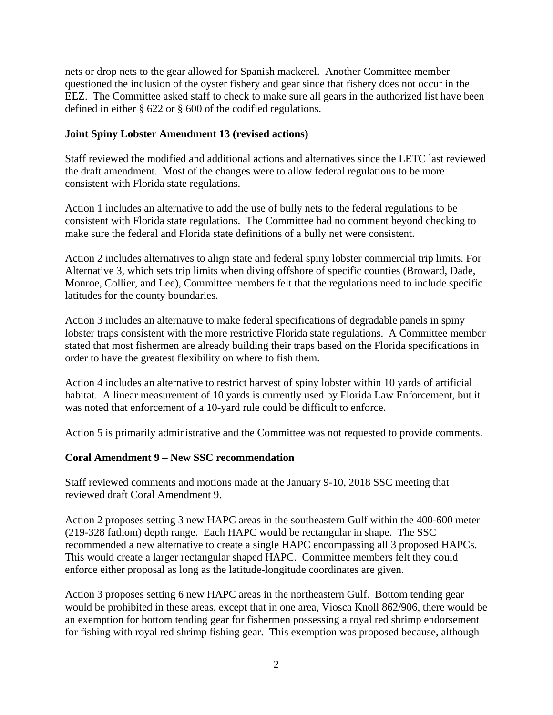nets or drop nets to the gear allowed for Spanish mackerel. Another Committee member questioned the inclusion of the oyster fishery and gear since that fishery does not occur in the EEZ. The Committee asked staff to check to make sure all gears in the authorized list have been defined in either § 622 or § 600 of the codified regulations.

# **Joint Spiny Lobster Amendment 13 (revised actions)**

Staff reviewed the modified and additional actions and alternatives since the LETC last reviewed the draft amendment. Most of the changes were to allow federal regulations to be more consistent with Florida state regulations.

Action 1 includes an alternative to add the use of bully nets to the federal regulations to be consistent with Florida state regulations. The Committee had no comment beyond checking to make sure the federal and Florida state definitions of a bully net were consistent.

Action 2 includes alternatives to align state and federal spiny lobster commercial trip limits. For Alternative 3, which sets trip limits when diving offshore of specific counties (Broward, Dade, Monroe, Collier, and Lee), Committee members felt that the regulations need to include specific latitudes for the county boundaries.

Action 3 includes an alternative to make federal specifications of degradable panels in spiny lobster traps consistent with the more restrictive Florida state regulations. A Committee member stated that most fishermen are already building their traps based on the Florida specifications in order to have the greatest flexibility on where to fish them.

Action 4 includes an alternative to restrict harvest of spiny lobster within 10 yards of artificial habitat. A linear measurement of 10 yards is currently used by Florida Law Enforcement, but it was noted that enforcement of a 10-yard rule could be difficult to enforce.

Action 5 is primarily administrative and the Committee was not requested to provide comments.

# **Coral Amendment 9 – New SSC recommendation**

Staff reviewed comments and motions made at the January 9-10, 2018 SSC meeting that reviewed draft Coral Amendment 9.

Action 2 proposes setting 3 new HAPC areas in the southeastern Gulf within the 400-600 meter (219-328 fathom) depth range. Each HAPC would be rectangular in shape. The SSC recommended a new alternative to create a single HAPC encompassing all 3 proposed HAPCs. This would create a larger rectangular shaped HAPC. Committee members felt they could enforce either proposal as long as the latitude-longitude coordinates are given.

Action 3 proposes setting 6 new HAPC areas in the northeastern Gulf. Bottom tending gear would be prohibited in these areas, except that in one area, Viosca Knoll 862/906, there would be an exemption for bottom tending gear for fishermen possessing a royal red shrimp endorsement for fishing with royal red shrimp fishing gear. This exemption was proposed because, although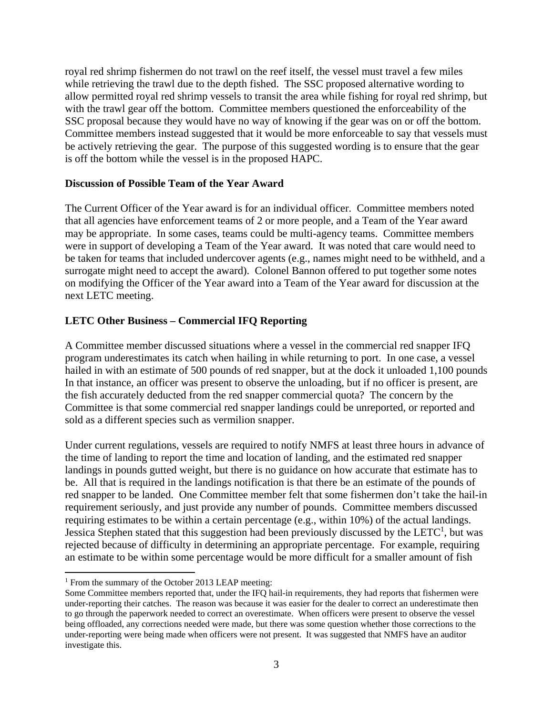royal red shrimp fishermen do not trawl on the reef itself, the vessel must travel a few miles while retrieving the trawl due to the depth fished. The SSC proposed alternative wording to allow permitted royal red shrimp vessels to transit the area while fishing for royal red shrimp, but with the trawl gear off the bottom. Committee members questioned the enforceability of the SSC proposal because they would have no way of knowing if the gear was on or off the bottom. Committee members instead suggested that it would be more enforceable to say that vessels must be actively retrieving the gear. The purpose of this suggested wording is to ensure that the gear is off the bottom while the vessel is in the proposed HAPC.

### **Discussion of Possible Team of the Year Award**

The Current Officer of the Year award is for an individual officer. Committee members noted that all agencies have enforcement teams of 2 or more people, and a Team of the Year award may be appropriate. In some cases, teams could be multi-agency teams. Committee members were in support of developing a Team of the Year award. It was noted that care would need to be taken for teams that included undercover agents (e.g., names might need to be withheld, and a surrogate might need to accept the award). Colonel Bannon offered to put together some notes on modifying the Officer of the Year award into a Team of the Year award for discussion at the next LETC meeting.

# **LETC Other Business – Commercial IFQ Reporting**

A Committee member discussed situations where a vessel in the commercial red snapper IFQ program underestimates its catch when hailing in while returning to port. In one case, a vessel hailed in with an estimate of 500 pounds of red snapper, but at the dock it unloaded 1,100 pounds In that instance, an officer was present to observe the unloading, but if no officer is present, are the fish accurately deducted from the red snapper commercial quota? The concern by the Committee is that some commercial red snapper landings could be unreported, or reported and sold as a different species such as vermilion snapper.

Under current regulations, vessels are required to notify NMFS at least three hours in advance of the time of landing to report the time and location of landing, and the estimated red snapper landings in pounds gutted weight, but there is no guidance on how accurate that estimate has to be. All that is required in the landings notification is that there be an estimate of the pounds of red snapper to be landed. One Committee member felt that some fishermen don't take the hail-in requirement seriously, and just provide any number of pounds. Committee members discussed requiring estimates to be within a certain percentage (e.g., within 10%) of the actual landings. Jessica Stephen stated that this suggestion had been previously discussed by the LETC<sup>1</sup>, but was rejected because of difficulty in determining an appropriate percentage. For example, requiring an estimate to be within some percentage would be more difficult for a smaller amount of fish

<sup>&</sup>lt;sup>1</sup> From the summary of the October 2013 LEAP meeting:

Some Committee members reported that, under the IFQ hail-in requirements, they had reports that fishermen were under-reporting their catches. The reason was because it was easier for the dealer to correct an underestimate then to go through the paperwork needed to correct an overestimate. When officers were present to observe the vessel being offloaded, any corrections needed were made, but there was some question whether those corrections to the under-reporting were being made when officers were not present. It was suggested that NMFS have an auditor investigate this.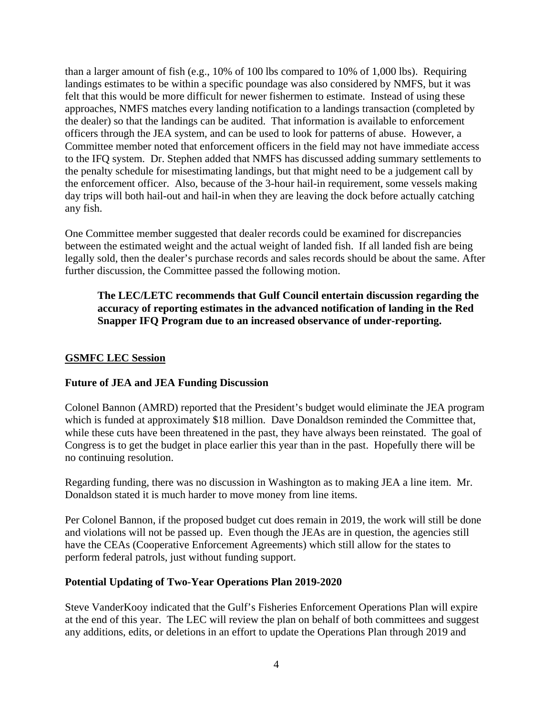than a larger amount of fish (e.g., 10% of 100 lbs compared to 10% of 1,000 lbs). Requiring landings estimates to be within a specific poundage was also considered by NMFS, but it was felt that this would be more difficult for newer fishermen to estimate. Instead of using these approaches, NMFS matches every landing notification to a landings transaction (completed by the dealer) so that the landings can be audited. That information is available to enforcement officers through the JEA system, and can be used to look for patterns of abuse. However, a Committee member noted that enforcement officers in the field may not have immediate access to the IFQ system. Dr. Stephen added that NMFS has discussed adding summary settlements to the penalty schedule for misestimating landings, but that might need to be a judgement call by the enforcement officer. Also, because of the 3-hour hail-in requirement, some vessels making day trips will both hail-out and hail-in when they are leaving the dock before actually catching any fish.

One Committee member suggested that dealer records could be examined for discrepancies between the estimated weight and the actual weight of landed fish. If all landed fish are being legally sold, then the dealer's purchase records and sales records should be about the same. After further discussion, the Committee passed the following motion.

**The LEC/LETC recommends that Gulf Council entertain discussion regarding the accuracy of reporting estimates in the advanced notification of landing in the Red Snapper IFQ Program due to an increased observance of under-reporting.** 

# **GSMFC LEC Session**

### **Future of JEA and JEA Funding Discussion**

Colonel Bannon (AMRD) reported that the President's budget would eliminate the JEA program which is funded at approximately \$18 million. Dave Donaldson reminded the Committee that, while these cuts have been threatened in the past, they have always been reinstated. The goal of Congress is to get the budget in place earlier this year than in the past. Hopefully there will be no continuing resolution.

Regarding funding, there was no discussion in Washington as to making JEA a line item. Mr. Donaldson stated it is much harder to move money from line items.

Per Colonel Bannon, if the proposed budget cut does remain in 2019, the work will still be done and violations will not be passed up. Even though the JEAs are in question, the agencies still have the CEAs (Cooperative Enforcement Agreements) which still allow for the states to perform federal patrols, just without funding support.

### **Potential Updating of Two-Year Operations Plan 2019-2020**

Steve VanderKooy indicated that the Gulf's Fisheries Enforcement Operations Plan will expire at the end of this year. The LEC will review the plan on behalf of both committees and suggest any additions, edits, or deletions in an effort to update the Operations Plan through 2019 and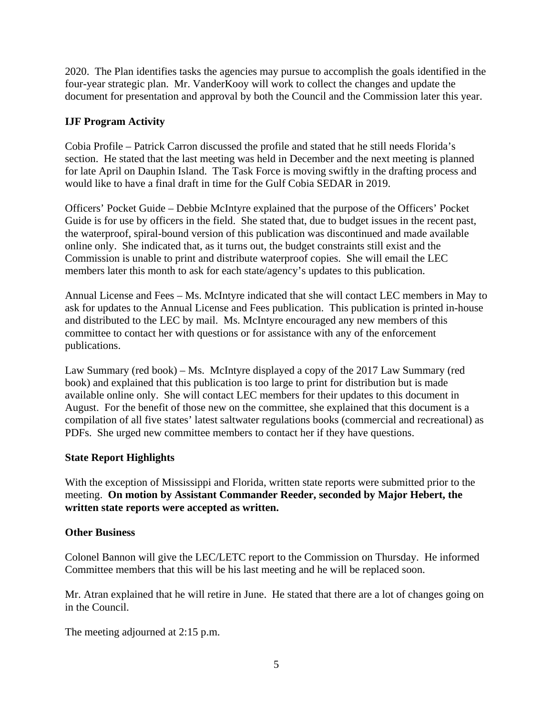2020. The Plan identifies tasks the agencies may pursue to accomplish the goals identified in the four-year strategic plan. Mr. VanderKooy will work to collect the changes and update the document for presentation and approval by both the Council and the Commission later this year.

# **IJF Program Activity**

Cobia Profile – Patrick Carron discussed the profile and stated that he still needs Florida's section. He stated that the last meeting was held in December and the next meeting is planned for late April on Dauphin Island. The Task Force is moving swiftly in the drafting process and would like to have a final draft in time for the Gulf Cobia SEDAR in 2019.

Officers' Pocket Guide – Debbie McIntyre explained that the purpose of the Officers' Pocket Guide is for use by officers in the field. She stated that, due to budget issues in the recent past, the waterproof, spiral-bound version of this publication was discontinued and made available online only. She indicated that, as it turns out, the budget constraints still exist and the Commission is unable to print and distribute waterproof copies. She will email the LEC members later this month to ask for each state/agency's updates to this publication.

Annual License and Fees – Ms. McIntyre indicated that she will contact LEC members in May to ask for updates to the Annual License and Fees publication. This publication is printed in-house and distributed to the LEC by mail. Ms. McIntyre encouraged any new members of this committee to contact her with questions or for assistance with any of the enforcement publications.

Law Summary (red book) – Ms. McIntyre displayed a copy of the 2017 Law Summary (red book) and explained that this publication is too large to print for distribution but is made available online only. She will contact LEC members for their updates to this document in August. For the benefit of those new on the committee, she explained that this document is a compilation of all five states' latest saltwater regulations books (commercial and recreational) as PDFs. She urged new committee members to contact her if they have questions.

# **State Report Highlights**

With the exception of Mississippi and Florida, written state reports were submitted prior to the meeting. **On motion by Assistant Commander Reeder, seconded by Major Hebert, the written state reports were accepted as written.**

# **Other Business**

Colonel Bannon will give the LEC/LETC report to the Commission on Thursday. He informed Committee members that this will be his last meeting and he will be replaced soon.

Mr. Atran explained that he will retire in June. He stated that there are a lot of changes going on in the Council.

The meeting adjourned at 2:15 p.m.